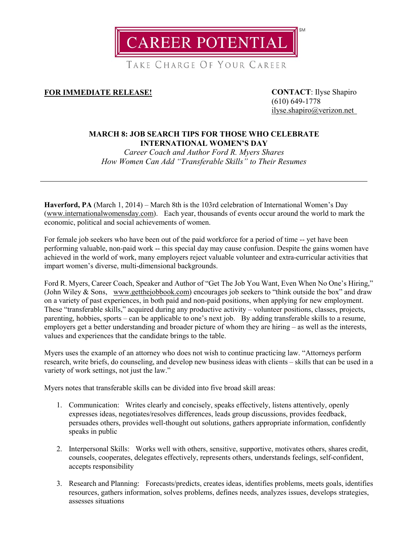**CAREER POTENTIAL** 

TAKE CHARGE OF YOUR CAREER

## **FOR IMMEDIATE RELEASE! CONTACT**: Ilyse Shapiro

(610) 649-1778 [ilyse.shapiro@verizon.net](mailto:ilyse.shapiro@verizon.net)

## **MARCH 8: JOB SEARCH TIPS FOR THOSE WHO CELEBRATE INTERNATIONAL WOMEN'S DAY**

*Career Coach and Author Ford R. Myers Shares How Women Can Add "Transferable Skills" to Their Resumes*

**Haverford, PA** (March 1, 2014) – March 8th is the 103rd celebration of International Women's Day [\(www.internationalwomensday.com\)](http://www.internationalwomensday.com/). Each year, thousands of events occur around the world to mark the economic, political and social achievements of women.

For female job seekers who have been out of the paid workforce for a period of time -- yet have been performing valuable, non-paid work -- this special day may cause confusion. Despite the gains women have achieved in the world of work, many employers reject valuable volunteer and extra-curricular activities that impart women's diverse, multi-dimensional backgrounds.

Ford R. Myers, Career Coach, Speaker and Author of "Get The Job You Want, Even When No One's Hiring," (John Wiley & Sons, [www.getthejobbook.com\)](http://www.getthejobbook.com/) encourages job seekers to "think outside the box" and draw on a variety of past experiences, in both paid and non-paid positions, when applying for new employment. These "transferable skills," acquired during any productive activity – volunteer positions, classes, projects, parenting, hobbies, sports – can be applicable to one's next job. By adding transferable skills to a resume, employers get a better understanding and broader picture of whom they are hiring – as well as the interests, values and experiences that the candidate brings to the table.

Myers uses the example of an attorney who does not wish to continue practicing law. "Attorneys perform research, write briefs, do counseling, and develop new business ideas with clients – skills that can be used in a variety of work settings, not just the law."

Myers notes that transferable skills can be divided into five broad skill areas:

- 1. Communication: Writes clearly and concisely, speaks effectively, listens attentively, openly expresses ideas, negotiates/resolves differences, leads group discussions, provides feedback, persuades others, provides well-thought out solutions, gathers appropriate information, confidently speaks in public
- 2. Interpersonal Skills: Works well with others, sensitive, supportive, motivates others, shares credit, counsels, cooperates, delegates effectively, represents others, understands feelings, self-confident, accepts responsibility
- 3. Research and Planning: Forecasts/predicts, creates ideas, identifies problems, meets goals, identifies resources, gathers information, solves problems, defines needs, analyzes issues, develops strategies, assesses situations